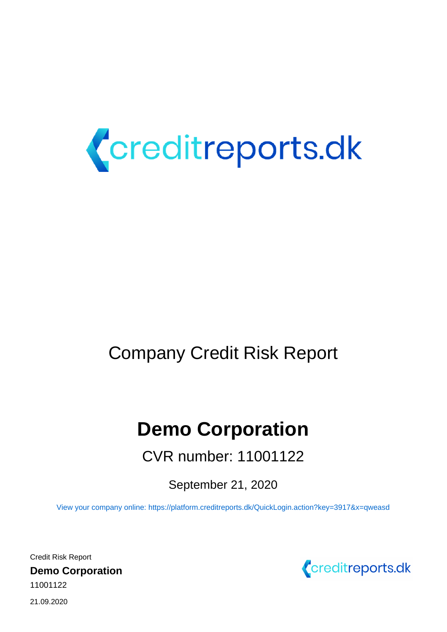

## Company Credit Risk Report

# **Demo Corporation**

## CVR number: 11001122

September 21, 2020

[View your company online: https://platform.creditreports.dk/QuickLogin.action?key=3917&x=qweasd](https://platform.creditreports.dk/QuickLogin.action?key=3917&x=qweasd
)

11001122 Credit Risk Report **Demo Corporation**



21.09.2020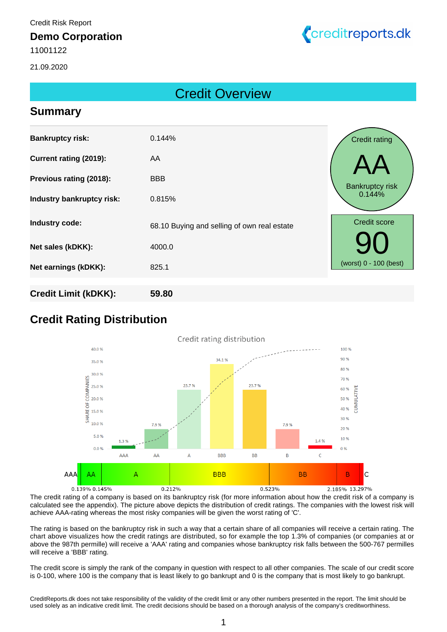

## Credit Overview

### **Summary**

| <b>Bankruptcy risk:</b>       | 0.144%                                      | <b>Credit rating</b>   |
|-------------------------------|---------------------------------------------|------------------------|
| <b>Current rating (2019):</b> | AA                                          |                        |
| Previous rating (2018):       | <b>BBB</b>                                  | <b>Bankruptcy risk</b> |
| Industry bankruptcy risk:     | 0.815%                                      | 0.144%                 |
| Industry code:                | 68.10 Buying and selling of own real estate | <b>Credit score</b>    |
| Net sales (kDKK):             | 4000.0                                      |                        |
| Net earnings (kDKK):          | 825.1                                       | (worst) 0 - 100 (best) |
|                               |                                             |                        |
| <b>Credit Limit (kDKK):</b>   | 59.80                                       |                        |

### **Credit Rating Distribution**



The credit rating of a company is based on its bankruptcy risk (for more information about how the credit risk of a company is calculated see the appendix). The picture above depicts the distribution of credit ratings. The companies with the lowest risk will achieve AAA-rating whereas the most risky companies will be given the worst rating of 'C'.

The rating is based on the bankruptcy risk in such a way that a certain share of all companies will receive a certain rating. The chart above visualizes how the credit ratings are distributed, so for example the top 1.3% of companies (or companies at or above the 987th permille) will receive a 'AAA' rating and companies whose bankruptcy risk falls between the 500-767 permilles will receive a 'BBB' rating.

The credit score is simply the rank of the company in question with respect to all other companies. The scale of our credit score is 0-100, where 100 is the company that is least likely to go bankrupt and 0 is the company that is most likely to go bankrupt.

CreditReports.dk does not take responsibility of the validity of the credit limit or any other numbers presented in the report. The limit should be used solely as an indicative credit limit. The credit decisions should be based on a thorough analysis of the company's creditworthiness.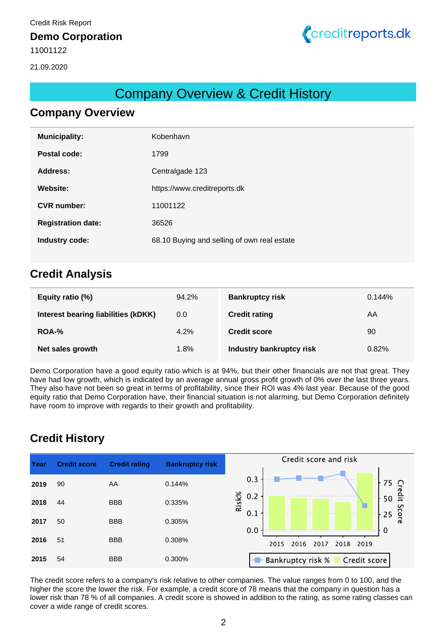

### Company Overview & Credit History

### **Company Overview**

| <b>Municipality:</b>      | Kobenhavn                                   |
|---------------------------|---------------------------------------------|
| Postal code:              | 1799                                        |
| Address:                  | Centralgade 123                             |
| Website:                  | https://www.creditreports.dk                |
| <b>CVR</b> number:        | 11001122                                    |
| <b>Registration date:</b> | 36526                                       |
| Industry code:            | 68.10 Buying and selling of own real estate |
|                           |                                             |

### **Credit Analysis**

| Equity ratio (%)                    | 94.2% | <b>Bankruptcy risk</b>          | 0.144% |
|-------------------------------------|-------|---------------------------------|--------|
| Interest bearing liabilities (kDKK) | 0.0   | <b>Credit rating</b>            | AA     |
| ROA-%                               | 4.2%  | <b>Credit score</b>             | 90     |
| Net sales growth                    | 1.8%  | <b>Industry bankruptcy risk</b> | 0.82%  |

Demo Corporation have a good equity ratio which is at 94%, but their other financials are not that great. They have had low growth, which is indicated by an average annual gross profit growth of 0% over the last three years. They also have not been so great in terms of profitability, since their ROI was 4% last year. Because of the good equity ratio that Demo Corporation have, their financial situation is not alarming, but Demo Corporation definitely have room to improve with regards to their growth and profitability.

### **Credit History**

| 75           |
|--------------|
| Credit<br>50 |
|              |
| Score<br>25  |
| $\Omega$     |
|              |
| 2019         |
| Credit score |
|              |

The credit score refers to a company's risk relative to other companies. The value ranges from 0 to 100, and the higher the score the lower the risk. For example, a credit score of 78 means that the company in question has a lower risk than 78 % of all companies. A credit score is showed in addition to the rating, as some rating classes can cover a wide range of credit scores.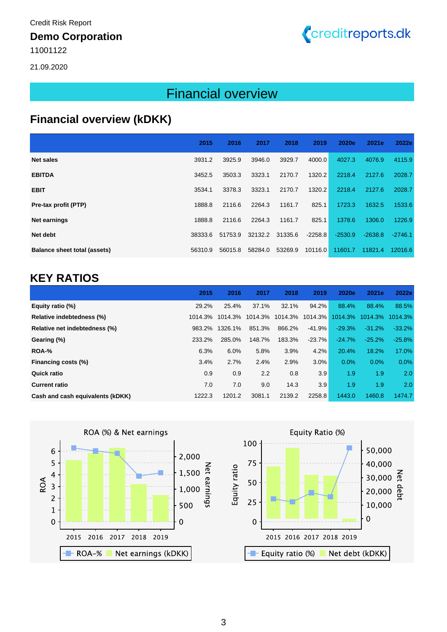### **Demo Corporation**

11001122

21.09.2020

## Creditreports.dk

#### **Financial overview (kDKK)** Financial overview

### **Financial overview (kDKK)**

|                                     | 2015    | 2016    | 2017    | 2018    | 2019      | 2020e     | 2021e     | 2022e     |
|-------------------------------------|---------|---------|---------|---------|-----------|-----------|-----------|-----------|
| Net sales                           | 3931.2  | 3925.9  | 3946.0  | 3929.7  | 4000.0    | 4027.3    | 4076.9    | 4115.9    |
| <b>EBITDA</b>                       | 3452.5  | 3503.3  | 3323.1  | 2170.7  | 1320.2    | 2218.4    | 2127.6    | 2028.7    |
| <b>EBIT</b>                         | 3534.1  | 3378.3  | 3323.1  | 2170.7  | 1320.2    | 2218.4    | 2127.6    | 2028.7    |
| Pre-tax profit (PTP)                | 1888.8  | 2116.6  | 2264.3  | 1161.7  | 825.1     | 1723.3    | 1632.5    | 1533.6    |
| <b>Net earnings</b>                 | 1888.8  | 2116.6  | 2264.3  | 1161.7  | 825.1     | 1378.6    | 1306.0    | 1226.9    |
| Net debt                            | 38333.6 | 51753.9 | 32132.2 | 31335.6 | $-2258.8$ | $-2530.9$ | $-2638.8$ | $-2746.1$ |
| <b>Balance sheet total (assets)</b> | 56310.9 | 56015.8 | 58284.0 | 53269.9 | 10116.0   | 11601.7   | 11821.4   | 12016.6   |

### **KEY RATIOS**

|                                  | 2015    | 2016    | 2017    | 2018    | 2019     | 2020e    | 2021e    | 2022e    |
|----------------------------------|---------|---------|---------|---------|----------|----------|----------|----------|
| Equity ratio (%)                 | 29.2%   | 25.4%   | 37.1%   | 32.1%   | 94.2%    | 88.4%    | 88.4%    | 88.5%    |
| Relative indebtedness (%)        | 1014.3% | 1014.3% | 1014.3% | 1014.3% | 1014.3%  | 1014.3%  | 1014.3%  | 1014.3%  |
| Relative net indebtedness (%)    | 983.2%  | 1326.1% | 851.3%  | 866.2%  | $-41.9%$ | $-29.3%$ | $-31.2%$ | $-33.2%$ |
| Gearing (%)                      | 233.2%  | 285.0%  | 148.7%  | 183.3%  | $-23.7%$ | $-24.7%$ | $-25.2%$ | $-25.8%$ |
| ROA-%                            | 6.3%    | 6.0%    | 5.8%    | 3.9%    | 4.2%     | 20.4%    | 18.2%    | 17.0%    |
| Financing costs (%)              | 3.4%    | 2.7%    | 2.4%    | 2.9%    | 3.0%     | 0.0%     | 0.0%     | 0.0%     |
| <b>Quick ratio</b>               | 0.9     | 0.9     | 2.2     | 0.8     | 3.9      | 1.9      | 1.9      | 2.0      |
| <b>Current ratio</b>             | 7.0     | 7.0     | 9.0     | 14.3    | 3.9      | 1.9      | 1.9      | 2.0      |
| Cash and cash equivalents (kDKK) | 1222.3  | 1201.2  | 3081.1  | 2139.2  | 2258.8   | 1443.0   | 1460.8   | 1474.7   |

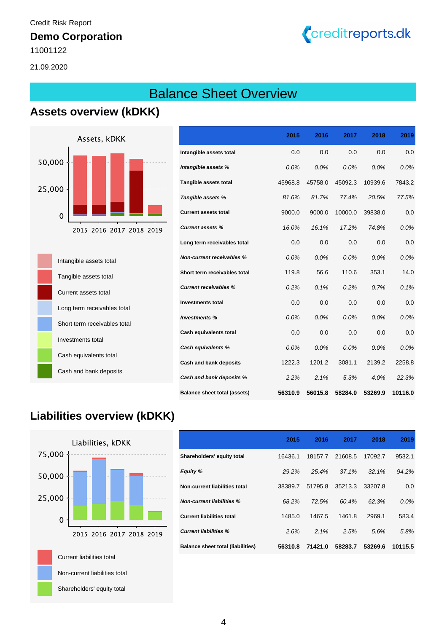### **Demo Corporation**

11001122

21.09.2020

## Balance Sheet Overview

### **Assets overview (kDKK)**



| mangibio associo iolar       |
|------------------------------|
| Tangible assets total        |
| Current assets total         |
| Long term receivables total  |
| Short term receivables total |
| Investments total            |
| Cash equivalents total       |
| Cash and bank deposits       |

|                                     | 2015    | 2016    | 2017    | 2018    | 2019    |
|-------------------------------------|---------|---------|---------|---------|---------|
| Intangible assets total             | 0.0     | 0.0     | 0.0     | 0.0     | 0.0     |
| Intangible assets %                 | 0.0%    | $0.0\%$ | 0.0%    | $0.0\%$ | 0.0%    |
| Tangible assets total               | 45968.8 | 45758.0 | 45092.3 | 10939.6 | 7843.2  |
| Tangible assets %                   | 81.6%   | 81.7%   | 77.4%   | 20.5%   | 77.5%   |
| <b>Current assets total</b>         | 9000.0  | 9000.0  | 10000.0 | 39838.0 | 0.0     |
| <b>Current assets %</b>             | 16.0%   | 16.1%   | 17.2%   | 74.8%   | 0.0%    |
| Long term receivables total         | 0.0     | 0.0     | 0.0     | 0.0     | 0.0     |
| <b>Non-current receivables %</b>    | 0.0%    | 0.0%    | 0.0%    | 0.0%    | 0.0%    |
| Short term receivables total        | 119.8   | 56.6    | 110.6   | 353.1   | 14.0    |
| <b>Current receivables %</b>        | 0.2%    | 0.1%    | 0.2%    | 0.7%    | 0.1%    |
| <b>Investments total</b>            | 0.0     | 0.0     | 0.0     | 0.0     | 0.0     |
| <b>Investments %</b>                | 0.0%    | 0.0%    | 0.0%    | 0.0%    | 0.0%    |
| Cash equivalents total              | 0.0     | 0.0     | 0.0     | 0.0     | 0.0     |
| <b>Cash equivalents %</b>           | 0.0%    | 0.0%    | 0.0%    | 0.0%    | 0.0%    |
| Cash and bank deposits              | 1222.3  | 1201.2  | 3081.1  | 2139.2  | 2258.8  |
| Cash and bank deposits %            | 2.2%    | 2.1%    | 5.3%    | 4.0%    | 22.3%   |
| <b>Balance sheet total (assets)</b> | 56310.9 | 56015.8 | 58284.0 | 53269.9 | 10116.0 |

Creditreports.dk

### **Liabilities overview (kDKK)**



|                                          | 2015    | 2016    | 2017    | 2018    | 2019    |
|------------------------------------------|---------|---------|---------|---------|---------|
| Shareholders' equity total               | 16436.1 | 18157.7 | 21608.5 | 17092.7 | 9532.1  |
| Equity %                                 | 29.2%   | 25.4%   | 37.1%   | 32.1%   | 94.2%   |
| Non-current liabilities total            | 38389.7 | 51795.8 | 35213.3 | 33207.8 | 0.0     |
| <b>Non-current liabilities %</b>         | 68.2%   | 72.5%   | 60.4%   | 62.3%   | $0.0\%$ |
| <b>Current liabilities total</b>         | 1485.0  | 1467.5  | 1461.8  | 2969.1  | 583.4   |
| <b>Current liabilities %</b>             | 2.6%    | 2.1%    | 2.5%    | 5.6%    | 5.8%    |
| <b>Balance sheet total (liabilities)</b> | 56310.8 | 71421.0 | 58283.7 | 53269.6 | 10115.5 |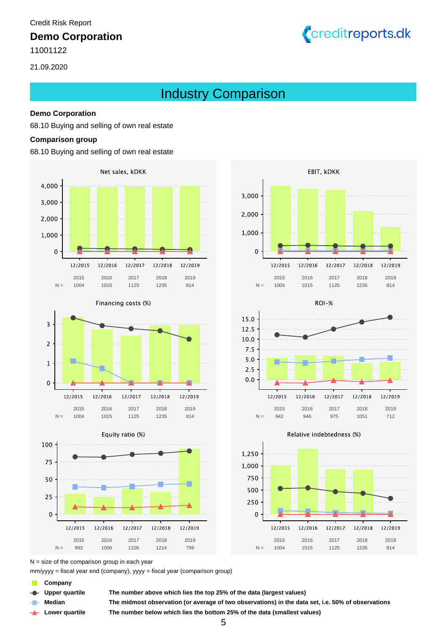### **Demo Corporation**

11001122

21.09.2020

## Creditreports.dk

## Industry Comparison

#### **Demo Corporation**

68.10 Buying and selling of own real estate

### **Comparison group**

#### 68.10 Buying and selling of own real estate









ROI-%







 $N =$  size of the comparison group in each year

 $\text{mm/}$ yyyy = fiscal year end (company), yyyy = fiscal year (comparison group)

- **Company**
- 

**Lower quartile**

**Median The midmost observation (or average of two observations) in the data set, i.e. 50% of observations Upper quartile The number above which lies the top 25% of the data (largest values)**

**The number below which lies the bottom 25% of the data (smallest values)**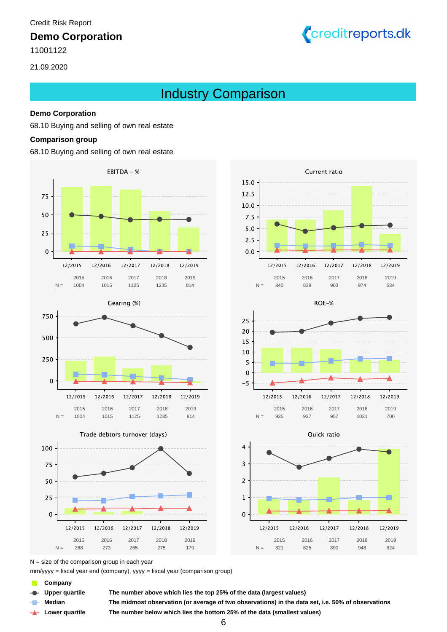### **Demo Corporation**

21.09.2020



## Industry Comparison

#### **Demo Corporation**

68.10 Buying and selling of own real estate

### **Comparison group**

68.10 Buying and selling of own real estate















 $N =$  size of the comparison group in each year

 

12/2016

 

12/2015

 $\text{mm/}$ yyyy = fiscal year end (company), yyyy = fiscal year (comparison group)

58 273 265 275 17

N = 268 273 265 275 179

 

12/2017

 

12/2018

12/2019

**Company**

 $\mathbf{0}$ 

**Lower quartile**

**Upper quartile The number above which lies the top 25% of the data (largest values)**

**Median The midmost observation (or average of two observations) in the data set, i.e. 50% of observations The number below which lies the bottom 25% of the data (smallest values)**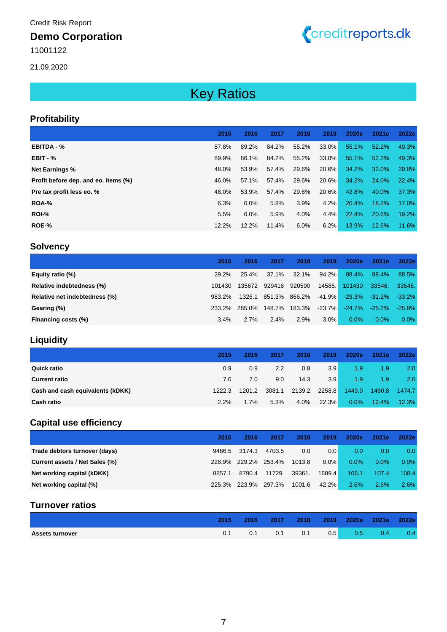### **Demo Corporation**

11001122



21.09.2020

## Key Ratios

### **Profitability**

|                                      | 2015  | 2016  | 2017  | 2018  | 2019     | 2020e | 2021e | 2022e |
|--------------------------------------|-------|-------|-------|-------|----------|-------|-------|-------|
| <b>EBITDA - %</b>                    | 87.8% | 89.2% | 84.2% | 55.2% | $33.0\%$ | 55.1% | 52.2% | 49.3% |
| $EBIT - %$                           | 89.9% | 86.1% | 84.2% | 55.2% | $33.0\%$ | 55.1% | 52.2% | 49.3% |
| <b>Net Earnings %</b>                | 48.0% | 53.9% | 57.4% | 29.6% | 20.6%    | 34.2% | 32.0% | 29.8% |
| Profit before dep. and eo. items (%) | 46.0% | 57.1% | 57.4% | 29.6% | 20.6%    | 34.2% | 24.0% | 22.4% |
| Pre tax profit less eo. %            | 48.0% | 53.9% | 57.4% | 29.6% | 20.6%    | 42.8% | 40.0% | 37.3% |
| ROA-%                                | 6.3%  | 6.0%  | 5.8%  | 3.9%  | 4.2%     | 20.4% | 18.2% | 17.0% |
| ROI-%                                | 5.5%  | 6.0%  | 5.9%  | 4.0%  | 4.4%     | 22.4% | 20.6% | 19.2% |
| ROE-%                                | 12.2% | 12.2% | 11.4% | 6.0%  | 6.2%     | 13.9% | 12.6% | 11.6% |

### **Solvency**

|                               | 2015   | 2016   | 2017   | 2018   | 2019      | 2020e     | 2021e             | 2022e     |
|-------------------------------|--------|--------|--------|--------|-----------|-----------|-------------------|-----------|
| Equity ratio (%)              | 29.2%  | 25.4%  | 37.1%  | 32.1%  | 94.2%     | 88.4%     | 88.4%             | 88.5%     |
| Relative indebtedness (%)     | 101430 | 135672 | 929416 | 920590 | 14585.    | 101430    | 33546.            | 33546.    |
| Relative net indebtedness (%) | 983.2% | 1326.1 | 851.3% | 866.2% | $-41.9\%$ |           | $-29.3\% -31.2\%$ | $-33.2\%$ |
| Gearing (%)                   | 233.2% | 285.0% | 148.7% | 183.3% | $-23.7\%$ | $-24.7\%$ | $-25.2\%$         | $-25.8\%$ |
| Financing costs (%)           | 3.4%   | 2.7%   | 2.4%   | 2.9%   | $3.0\%$   | $0.0\%$   | 0.0%              | $0.0\%$   |

### **Liquidity**

|                                  | 2015   | 2016   | 2017   | 2018   | 2019   | 2020e  | 2021e  | 2022e  |
|----------------------------------|--------|--------|--------|--------|--------|--------|--------|--------|
| <b>Quick ratio</b>               | 0.9    | 0.9    | 2.2    | 0.8    | 3.9    | 1.9    | 1.9    | 2.0    |
| <b>Current ratio</b>             | 7.0    | 7.0    | 9.0    | 14.3   | 3.9    | 1.9    | 1.9    | 2.0    |
| Cash and cash equivalents (kDKK) | 1222.3 | 1201.2 | 3081.1 | 2139.2 | 2258.8 | 1443.0 | 1460.8 | 1474.7 |
| Cash ratio                       | 2.2%   | 1.7%   | 5.3%   | 4.0%   | 22.3%  | 0.0%   | 12.4%  | 12.3%  |

### **Capital use efficiency**

|                                | 2015   | 2016   | 2017   | 2018   | 2019    | 2020e | 2021e   | 2022e   |
|--------------------------------|--------|--------|--------|--------|---------|-------|---------|---------|
| Trade debtors turnover (days)  | 9486.5 | 3174.3 | 4703.5 | 0.0    | 0.0     | 0.0   | 0.0     | 0.0     |
| Current assets / Net Sales (%) | 228.9% | 229.2% | 253.4% | 1013.8 | $0.0\%$ | 0.0%  | $0.0\%$ | $0.0\%$ |
| Net working capital (kDKK)     | 8857.1 | 8790.4 | 11729. | 39361. | 1689.4  | 106.1 | 107.4   | 108.4   |
| Net working capital (%)        | 225.3% | 223.9% | 297.3% | 1001.6 | 42.2%   | 2.6%  | 2.6%    | $2.6\%$ |

### **Turnover ratios**

|                        | 2015 | 2016 | 2017 | 2018 | 2019 | 2020e | 2021e | 2022e |
|------------------------|------|------|------|------|------|-------|-------|-------|
| <b>Assets turnover</b> | 0.1  | 0.1  | 0.1  | 0.1  | 0.5  | 0.5   | 0.4   | 0.4   |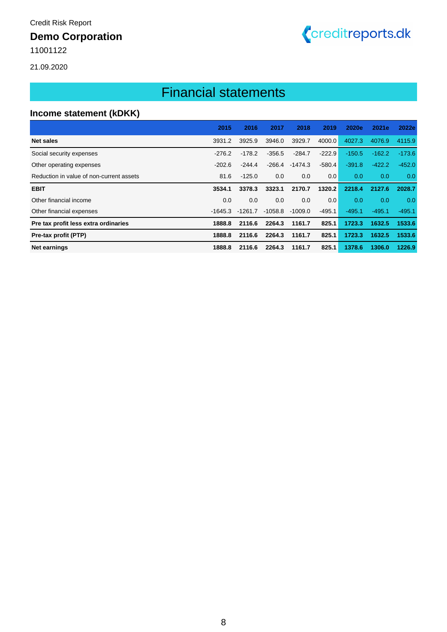### **Demo Corporation**

11001122

21.09.2020

## Financial statements

Creditreports.dk

### **Income statement (kDKK)**

|                                          | 2015      | 2016      | 2017      | 2018      | 2019     | 2020e    | 2021e    | 2022e    |
|------------------------------------------|-----------|-----------|-----------|-----------|----------|----------|----------|----------|
| Net sales                                | 3931.2    | 3925.9    | 3946.0    | 3929.7    | 4000.0   | 4027.3   | 4076.9   | 4115.9   |
| Social security expenses                 | $-276.2$  | $-178.2$  | $-356.5$  | $-284.7$  | $-222.9$ | $-150.5$ | $-162.2$ | $-173.6$ |
| Other operating expenses                 | $-202.6$  | $-244.4$  | -266.4    | -1474.3   | $-580.4$ | $-391.8$ | $-422.2$ | $-452.0$ |
| Reduction in value of non-current assets | 81.6      | $-125.0$  | 0.0       | 0.0       | 0.0      | 0.0      | 0.0      | 0.0      |
| <b>EBIT</b>                              | 3534.1    | 3378.3    | 3323.1    | 2170.7    | 1320.2   | 2218.4   | 2127.6   | 2028.7   |
| Other financial income                   | 0.0       | 0.0       | 0.0       | 0.0       | 0.0      | 0.0      | 0.0      | 0.0      |
| Other financial expenses                 | $-1645.3$ | $-1261.7$ | $-1058.8$ | $-1009.0$ | $-495.1$ | $-495.1$ | $-495.1$ | $-495.1$ |
| Pre tax profit less extra ordinaries     | 1888.8    | 2116.6    | 2264.3    | 1161.7    | 825.1    | 1723.3   | 1632.5   | 1533.6   |
| Pre-tax profit (PTP)                     | 1888.8    | 2116.6    | 2264.3    | 1161.7    | 825.1    | 1723.3   | 1632.5   | 1533.6   |
| <b>Net earnings</b>                      | 1888.8    | 2116.6    | 2264.3    | 1161.7    | 825.1    | 1378.6   | 1306.0   | 1226.9   |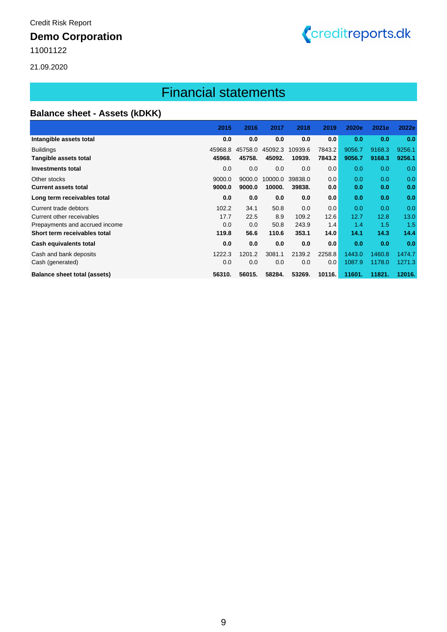### **Demo Corporation**

11001122

21.09.2020

## Creditreports.dk

## Financial statements

### **Balance sheet - Assets (kDKK)**

|                                | 2015    | 2016    | 2017    | 2018    | 2019   | 2020e  | 2021e  | 2022e  |
|--------------------------------|---------|---------|---------|---------|--------|--------|--------|--------|
| Intangible assets total        | 0.0     | 0.0     | 0.0     | 0.0     | 0.0    | 0.0    | 0.0    | 0.0    |
| <b>Buildings</b>               | 45968.8 | 45758.0 | 45092.3 | 10939.6 | 7843.2 | 9056.7 | 9168.3 | 9256.1 |
| Tangible assets total          | 45968.  | 45758.  | 45092.  | 10939.  | 7843.2 | 9056.7 | 9168.3 | 9256.1 |
| <b>Investments total</b>       | 0.0     | 0.0     | 0.0     | 0.0     | 0.0    | 0.0    | 0.0    | 0.0    |
| Other stocks                   | 9000.0  | 9000.0  | 10000.0 | 39838.0 | 0.0    | 0.0    | 0.0    | 0.0    |
| <b>Current assets total</b>    | 9000.0  | 9000.0  | 10000.  | 39838.  | 0.0    | 0.0    | 0.0    | 0.0    |
| Long term receivables total    | 0.0     | 0.0     | 0.0     | 0.0     | 0.0    | 0.0    | 0.0    | 0.0    |
| Current trade debtors          | 102.2   | 34.1    | 50.8    | 0.0     | 0.0    | 0.0    | 0.0    | 0.0    |
| Current other receivables      | 17.7    | 22.5    | 8.9     | 109.2   | 12.6   | 12.7   | 12.8   | 13.0   |
| Prepayments and accrued income | 0.0     | 0.0     | 50.8    | 243.9   | 1.4    | 1.4    | 1.5    | 1.5    |
| Short term receivables total   | 119.8   | 56.6    | 110.6   | 353.1   | 14.0   | 14.1   | 14.3   | 14.4   |
| Cash equivalents total         | 0.0     | 0.0     | 0.0     | 0.0     | 0.0    | 0.0    | 0.0    | 0.0    |
| Cash and bank deposits         | 1222.3  | 1201.2  | 3081.1  | 2139.2  | 2258.8 | 1443.0 | 1460.8 | 1474.7 |
| Cash (generated)               | 0.0     | 0.0     | 0.0     | 0.0     | 0.0    | 1087.9 | 1178.0 | 1271.3 |
| Balance sheet total (assets)   | 56310.  | 56015.  | 58284.  | 53269.  | 10116. | 11601. | 11821. | 12016. |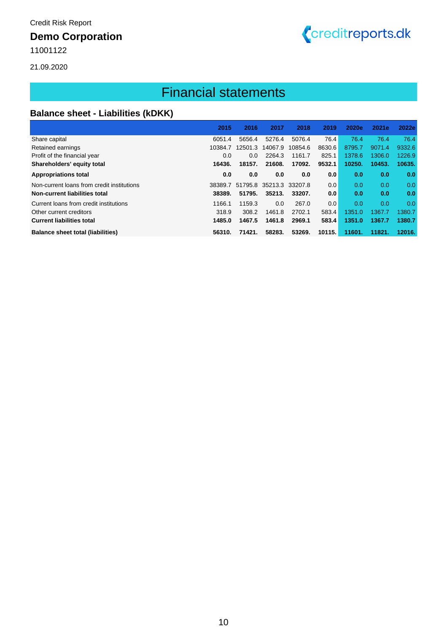### **Demo Corporation**

11001122

21.09.2020

## Creditreports.dk

## Financial statements

### **Balance sheet - Liabilities (kDKK)**

|                                            | 2015    | 2016    | 2017    | 2018    | 2019   | 2020e  | 2021e  | 2022e  |
|--------------------------------------------|---------|---------|---------|---------|--------|--------|--------|--------|
| Share capital                              | 6051.4  | 5656.4  | 5276.4  | 5076.4  | 76.4   | 76.4   | 76.4   | 76.4   |
| Retained earnings                          | 10384.7 | 12501.3 | 14067.9 | 10854.6 | 8630.6 | 8795.7 | 9071.4 | 9332.6 |
| Profit of the financial year               | 0.0     | 0.0     | 2264.3  | 1161.7  | 825.1  | 1378.6 | 1306.0 | 1226.9 |
| Shareholders' equity total                 | 16436.  | 18157.  | 21608.  | 17092.  | 9532.1 | 10250. | 10453. | 10635. |
| <b>Appropriations total</b>                | 0.0     | 0.0     | 0.0     | 0.0     | 0.0    | 0.0    | 0.0    | 0.0    |
| Non-current loans from credit institutions | 38389.7 | 51795.8 | 35213.3 | 33207.8 | 0.0    | 0.0    | 0.0    | 0.0    |
| Non-current liabilities total              | 38389.  | 51795.  | 35213.  | 33207.  | 0.0    | 0.0    | 0.0    | 0.0    |
| Current loans from credit institutions     | 1166.1  | 1159.3  | 0.0     | 267.0   | 0.0    | 0.0    | 0.0    | 0.0    |
| Other current creditors                    | 318.9   | 308.2   | 1461.8  | 2702.1  | 583.4  | 1351.0 | 1367.7 | 1380.7 |
| <b>Current liabilities total</b>           | 1485.0  | 1467.5  | 1461.8  | 2969.1  | 583.4  | 1351.0 | 1367.7 | 1380.7 |
| <b>Balance sheet total (liabilities)</b>   | 56310.  | 71421.  | 58283.  | 53269.  | 10115. | 11601. | 11821. | 12016. |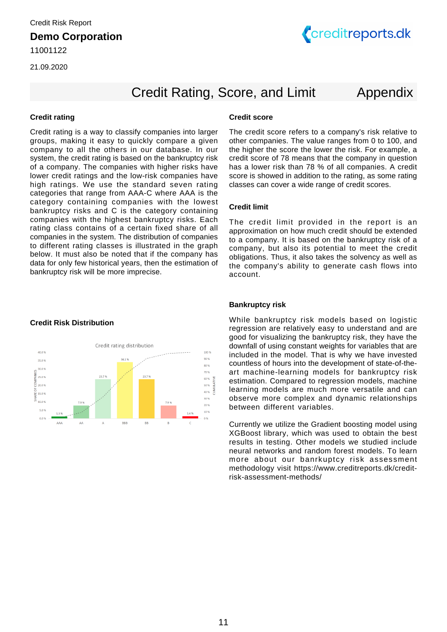11001122 Credit Risk Report **Demo Corporation** 21.09.2020



### Credit Rating, Score, and Limit Appendix

#### **Credit rating Credit score**

Credit rating is a way to classify companies into larger groups, making it easy to quickly compare a given company to all the others in our database. In our system, the credit rating is based on the bankruptcy risk of a company. The companies with higher risks have lower credit ratings and the low-risk companies have high ratings. We use the standard seven rating categories that range from AAA-C where AAA is the category containing companies with the lowest bankruptcy risks and C is the category containing companies with the highest bankruptcy risks. Each rating class contains of a certain fixed share of all companies in the system. The distribution of companies to different rating classes is illustrated in the graph below. It must also be noted that if the company has data for only few historical years, then the estimation of bankruptcy risk will be more imprecise.

#### **Credit Risk Distribution**



The credit score refers to a company's risk relative to other companies. The value ranges from 0 to 100, and the higher the score the lower the risk. For example, a credit score of 78 means that the company in question has a lower risk than 78 % of all companies. A credit score is showed in addition to the rating, as some rating classes can cover a wide range of credit scores.

#### **Credit limit**

The credit limit provided in the report is an approximation on how much credit should be extended to a company. It is based on the bankruptcy risk of a company, but also its potential to meet the credit obligations. Thus, it also takes the solvency as well as the company's ability to generate cash flows into account.

#### **Bankruptcy risk**

While bankruptcy risk models based on logistic regression are relatively easy to understand and are good for visualizing the bankruptcy risk, they have the downfall of using constant weights for variables that are included in the model. That is why we have invested countless of hours into the development of state-of-theart machine-learning models for bankruptcy risk estimation. Compared to regression models, machine learning models are much more versatile and can observe more complex and dynamic relationships between different variables.

Currently we utilize the Gradient boosting model using XGBoost library, which was used to obtain the best results in testing. Other models we studied include neural networks and random forest models. To learn more about our banrkuptcy risk assessment methodology visit https://www.creditreports.dk/creditrisk-assessment-methods/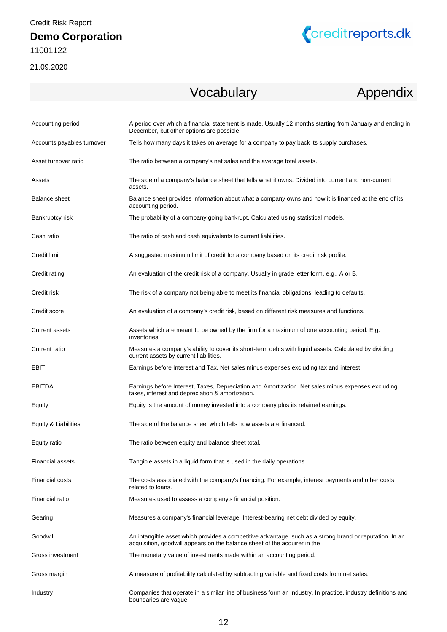11001122 Credit Risk Report **Demo Corporation**

21.09.2020



## Vocabulary Appendix

| Accounting period          | A period over which a financial statement is made. Usually 12 months starting from January and ending in<br>December, but other options are possible.                                |
|----------------------------|--------------------------------------------------------------------------------------------------------------------------------------------------------------------------------------|
| Accounts payables turnover | Tells how many days it takes on average for a company to pay back its supply purchases.                                                                                              |
| Asset turnover ratio       | The ratio between a company's net sales and the average total assets.                                                                                                                |
| Assets                     | The side of a company's balance sheet that tells what it owns. Divided into current and non-current<br>assets.                                                                       |
| <b>Balance sheet</b>       | Balance sheet provides information about what a company owns and how it is financed at the end of its<br>accounting period.                                                          |
| Bankruptcy risk            | The probability of a company going bankrupt. Calculated using statistical models.                                                                                                    |
| Cash ratio                 | The ratio of cash and cash equivalents to current liabilities.                                                                                                                       |
| Credit limit               | A suggested maximum limit of credit for a company based on its credit risk profile.                                                                                                  |
| Credit rating              | An evaluation of the credit risk of a company. Usually in grade letter form, e.g., A or B.                                                                                           |
| Credit risk                | The risk of a company not being able to meet its financial obligations, leading to defaults.                                                                                         |
| Credit score               | An evaluation of a company's credit risk, based on different risk measures and functions.                                                                                            |
| Current assets             | Assets which are meant to be owned by the firm for a maximum of one accounting period. E.g.<br>inventories.                                                                          |
| Current ratio              | Measures a company's ability to cover its short-term debts with liquid assets. Calculated by dividing<br>current assets by current liabilities.                                      |
| EBIT                       | Earnings before Interest and Tax. Net sales minus expenses excluding tax and interest.                                                                                               |
| <b>EBITDA</b>              | Earnings before Interest, Taxes, Depreciation and Amortization. Net sales minus expenses excluding<br>taxes, interest and depreciation & amortization.                               |
| Equity                     | Equity is the amount of money invested into a company plus its retained earnings.                                                                                                    |
| Equity & Liabilities       | The side of the balance sheet which tells how assets are financed.                                                                                                                   |
| Equity ratio               | The ratio between equity and balance sheet total.                                                                                                                                    |
| <b>Financial assets</b>    | Tangible assets in a liquid form that is used in the daily operations.                                                                                                               |
| <b>Financial costs</b>     | The costs associated with the company's financing. For example, interest payments and other costs<br>related to loans.                                                               |
| Financial ratio            | Measures used to assess a company's financial position.                                                                                                                              |
| Gearing                    | Measures a company's financial leverage. Interest-bearing net debt divided by equity.                                                                                                |
| Goodwill                   | An intangible asset which provides a competitive advantage, such as a strong brand or reputation. In an<br>acquisition, goodwill appears on the balance sheet of the acquirer in the |
| Gross investment           | The monetary value of investments made within an accounting period.                                                                                                                  |
| Gross margin               | A measure of profitability calculated by subtracting variable and fixed costs from net sales.                                                                                        |
| Industry                   | Companies that operate in a similar line of business form an industry. In practice, industry definitions and<br>boundaries are vague.                                                |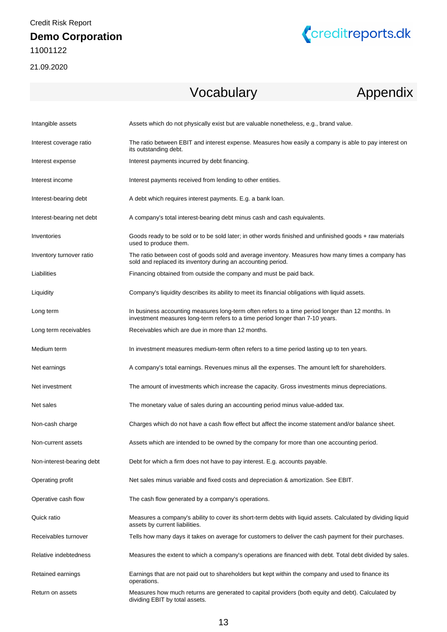11001122 Credit Risk Report **Demo Corporation**





## Vocabulary Appendix

| Intangible assets         | Assets which do not physically exist but are valuable nonetheless, e.g., brand value.                                                                                              |
|---------------------------|------------------------------------------------------------------------------------------------------------------------------------------------------------------------------------|
| Interest coverage ratio   | The ratio between EBIT and interest expense. Measures how easily a company is able to pay interest on<br>its outstanding debt.                                                     |
| Interest expense          | Interest payments incurred by debt financing.                                                                                                                                      |
| Interest income           | Interest payments received from lending to other entities.                                                                                                                         |
| Interest-bearing debt     | A debt which requires interest payments. E.g. a bank loan.                                                                                                                         |
| Interest-bearing net debt | A company's total interest-bearing debt minus cash and cash equivalents.                                                                                                           |
| Inventories               | Goods ready to be sold or to be sold later; in other words finished and unfinished goods + raw materials<br>used to produce them.                                                  |
| Inventory turnover ratio  | The ratio between cost of goods sold and average inventory. Measures how many times a company has<br>sold and replaced its inventory during an accounting period.                  |
| Liabilities               | Financing obtained from outside the company and must be paid back.                                                                                                                 |
| Liquidity                 | Company's liquidity describes its ability to meet its financial obligations with liquid assets.                                                                                    |
| Long term                 | In business accounting measures long-term often refers to a time period longer than 12 months. In<br>investment measures long-term refers to a time period longer than 7-10 years. |
| Long term receivables     | Receivables which are due in more than 12 months.                                                                                                                                  |
| Medium term               | In investment measures medium-term often refers to a time period lasting up to ten years.                                                                                          |
| Net earnings              | A company's total earnings. Revenues minus all the expenses. The amount left for shareholders.                                                                                     |
| Net investment            | The amount of investments which increase the capacity. Gross investments minus depreciations.                                                                                      |
| Net sales                 | The monetary value of sales during an accounting period minus value-added tax.                                                                                                     |
| Non-cash charge           | Charges which do not have a cash flow effect but affect the income statement and/or balance sheet.                                                                                 |
| Non-current assets        | Assets which are intended to be owned by the company for more than one accounting period.                                                                                          |
| Non-interest-bearing debt | Debt for which a firm does not have to pay interest. E.g. accounts payable.                                                                                                        |
| Operating profit          | Net sales minus variable and fixed costs and depreciation & amortization. See EBIT.                                                                                                |
| Operative cash flow       | The cash flow generated by a company's operations.                                                                                                                                 |
| Quick ratio               | Measures a company's ability to cover its short-term debts with liquid assets. Calculated by dividing liquid<br>assets by current liabilities.                                     |
| Receivables turnover      | Tells how many days it takes on average for customers to deliver the cash payment for their purchases.                                                                             |
| Relative indebtedness     | Measures the extent to which a company's operations are financed with debt. Total debt divided by sales.                                                                           |
| Retained earnings         | Earnings that are not paid out to shareholders but kept within the company and used to finance its<br>operations.                                                                  |
| Return on assets          | Measures how much returns are generated to capital providers (both equity and debt). Calculated by<br>dividing EBIT by total assets.                                               |